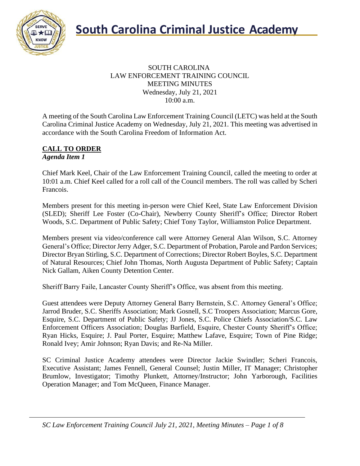

#### SOUTH CAROLINA LAW ENFORCEMENT TRAINING COUNCIL MEETING MINUTES Wednesday, July 21, 2021 10:00 a.m.

A meeting of the South Carolina Law Enforcement Training Council (LETC) was held at the South Carolina Criminal Justice Academy on Wednesday, July 21, 2021. This meeting was advertised in accordance with the South Carolina Freedom of Information Act.

#### **CALL TO ORDER** *Agenda Item 1*

Chief Mark Keel, Chair of the Law Enforcement Training Council, called the meeting to order at 10:01 a.m. Chief Keel called for a roll call of the Council members. The roll was called by Scheri Francois.

Members present for this meeting in-person were Chief Keel, State Law Enforcement Division (SLED); Sheriff Lee Foster (Co-Chair), Newberry County Sheriff's Office; Director Robert Woods, S.C. Department of Public Safety; Chief Tony Taylor, Williamston Police Department.

Members present via video/conference call were Attorney General Alan Wilson, S.C. Attorney General's Office; Director Jerry Adger, S.C. Department of Probation, Parole and Pardon Services; Director Bryan Stirling, S.C. Department of Corrections; Director Robert Boyles, S.C. Department of Natural Resources; Chief John Thomas, North Augusta Department of Public Safety; Captain Nick Gallam, Aiken County Detention Center.

Sheriff Barry Faile, Lancaster County Sheriff's Office, was absent from this meeting.

Guest attendees were Deputy Attorney General Barry Bernstein, S.C. Attorney General's Office; Jarrod Bruder, S.C. Sheriffs Association; Mark Gosnell, S.C Troopers Association; Marcus Gore, Esquire, S.C. Department of Public Safety; JJ Jones, S.C. Police Chiefs Association/S.C. Law Enforcement Officers Association; Douglas Barfield, Esquire, Chester County Sheriff's Office; Ryan Hicks, Esquire; J. Paul Porter, Esquire; Matthew Lafave, Esquire; Town of Pine Ridge; Ronald Ivey; Amir Johnson; Ryan Davis; and Re-Na Miller.

SC Criminal Justice Academy attendees were Director Jackie Swindler; Scheri Francois, Executive Assistant; James Fennell, General Counsel; Justin Miller, IT Manager; Christopher Brumlow, Investigator; Timothy Plunkett, Attorney/Instructor; John Yarborough, Facilities Operation Manager; and Tom McQueen, Finance Manager.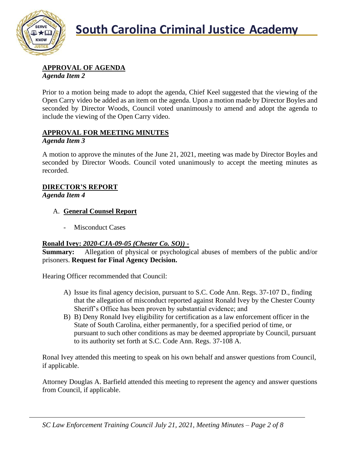

# **APPROVAL OF AGENDA**

*Agenda Item 2*

Prior to a motion being made to adopt the agenda, Chief Keel suggested that the viewing of the Open Carry video be added as an item on the agenda. Upon a motion made by Director Boyles and seconded by Director Woods, Council voted unanimously to amend and adopt the agenda to include the viewing of the Open Carry video.

### **APPROVAL FOR MEETING MINUTES**

#### *Agenda Item 3*

A motion to approve the minutes of the June 21, 2021, meeting was made by Director Boyles and seconded by Director Woods. Council voted unanimously to accept the meeting minutes as recorded.

# **DIRECTOR'S REPORT**

*Agenda Item 4*

#### A. **General Counsel Report**

- Misconduct Cases

#### **Ronald Ivey:** *2020-CJA-09-05 (Chester Co. SO))* **-**

**Summary:** Allegation of physical or psychological abuses of members of the public and/or prisoners. **Request for Final Agency Decision.**

Hearing Officer recommended that Council:

- A) Issue its final agency decision, pursuant to S.C. Code Ann. Regs. 37-107 D., finding that the allegation of misconduct reported against Ronald Ivey by the Chester County Sheriff's Office has been proven by substantial evidence; and
- B) B) Deny Ronald Ivey eligibility for certification as a law enforcement officer in the State of South Carolina, either permanently, for a specified period of time, or pursuant to such other conditions as may be deemed appropriate by Council, pursuant to its authority set forth at S.C. Code Ann. Regs. 37-108 A.

Ronal Ivey attended this meeting to speak on his own behalf and answer questions from Council, if applicable.

Attorney Douglas A. Barfield attended this meeting to represent the agency and answer questions from Council, if applicable.

*SC Law Enforcement Training Council July 21, 2021, Meeting Minutes – Page 2 of 8*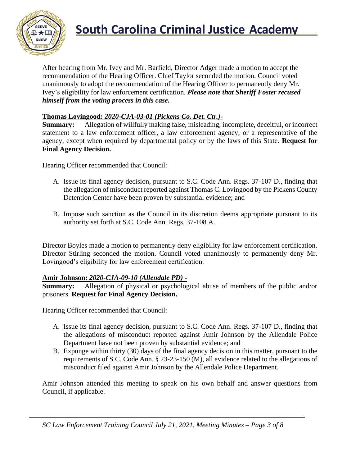

# **South Carolina Criminal Justice Academy**<br>KNOW

After hearing from Mr. Ivey and Mr. Barfield, Director Adger made a motion to accept the recommendation of the Hearing Officer. Chief Taylor seconded the motion. Council voted unanimously to adopt the recommendation of the Hearing Officer to permanently deny Mr. Ivey's eligibility for law enforcement certification. *Please note that Sheriff Foster recused himself from the voting process in this case.*

#### **Thomas Lovingood:** *2020-CJA-03-01 (Pickens Co. Det. Ctr.)***-**

**Summary:** Allegation of willfully making false, misleading, incomplete, deceitful, or incorrect statement to a law enforcement officer, a law enforcement agency, or a representative of the agency, except when required by departmental policy or by the laws of this State. **Request for Final Agency Decision.**

Hearing Officer recommended that Council:

- A. Issue its final agency decision, pursuant to S.C. Code Ann. Regs. 37-107 D., finding that the allegation of misconduct reported against Thomas C. Lovingood by the Pickens County Detention Center have been proven by substantial evidence; and
- B. Impose such sanction as the Council in its discretion deems appropriate pursuant to its authority set forth at S.C. Code Ann. Regs. 37-108 A.

Director Boyles made a motion to permanently deny eligibility for law enforcement certification. Director Stirling seconded the motion. Council voted unanimously to permanently deny Mr. Lovingood's eligibility for law enforcement certification.

#### **Amir Johnson:** *2020-CJA-09-10 (Allendale PD) -*

**Summary:** Allegation of physical or psychological abuse of members of the public and/or prisoners. **Request for Final Agency Decision.**

Hearing Officer recommended that Council:

- A. Issue its final agency decision, pursuant to S.C. Code Ann. Regs. 37-107 D., finding that the allegations of misconduct reported against Amir Johnson by the Allendale Police Department have not been proven by substantial evidence; and
- B. Expunge within thirty (30) days of the final agency decision in this matter, pursuant to the requirements of S.C. Code Ann. § 23-23-150 (M), all evidence related to the allegations of misconduct filed against Amir Johnson by the Allendale Police Department.

Amir Johnson attended this meeting to speak on his own behalf and answer questions from Council, if applicable.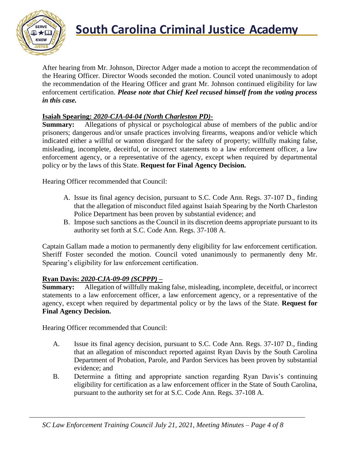

After hearing from Mr. Johnson, Director Adger made a motion to accept the recommendation of the Hearing Officer. Director Woods seconded the motion. Council voted unanimously to adopt the recommendation of the Hearing Officer and grant Mr. Johnson continued eligibility for law enforcement certification. *Please note that Chief Keel recused himself from the voting process in this case.*

#### **Isaiah Spearing:** *2020-CJA-04-04 (North Charleston PD)***-**

**Summary:** Allegations of physical or psychological abuse of members of the public and/or prisoners; dangerous and/or unsafe practices involving firearms, weapons and/or vehicle which indicated either a willful or wanton disregard for the safety of property; willfully making false, misleading, incomplete, deceitful, or incorrect statements to a law enforcement officer, a law enforcement agency, or a representative of the agency, except when required by departmental policy or by the laws of this State. **Request for Final Agency Decision.**

Hearing Officer recommended that Council:

- A. Issue its final agency decision, pursuant to S.C. Code Ann. Regs. 37-107 D., finding that the allegation of misconduct filed against Isaiah Spearing by the North Charleston Police Department has been proven by substantial evidence; and
- B. Impose such sanctions as the Council in its discretion deems appropriate pursuant to its authority set forth at S.C. Code Ann. Regs. 37-108 A.

Captain Gallam made a motion to permanently deny eligibility for law enforcement certification. Sheriff Foster seconded the motion. Council voted unanimously to permanently deny Mr. Spearing's eligibility for law enforcement certification.

#### **Ryan Davis:** *2020-CJA-09-09 (SCPPP)* **–**

**Summary:** Allegation of willfully making false, misleading, incomplete, deceitful, or incorrect statements to a law enforcement officer, a law enforcement agency, or a representative of the agency, except when required by departmental policy or by the laws of the State. **Request for Final Agency Decision.**

Hearing Officer recommended that Council:

- A. Issue its final agency decision, pursuant to S.C. Code Ann. Regs. 37-107 D., finding that an allegation of misconduct reported against Ryan Davis by the South Carolina Department of Probation, Parole, and Pardon Services has been proven by substantial evidence; and
- B. Determine a fitting and appropriate sanction regarding Ryan Davis's continuing eligibility for certification as a law enforcement officer in the State of South Carolina, pursuant to the authority set for at S.C. Code Ann. Regs. 37-108 A.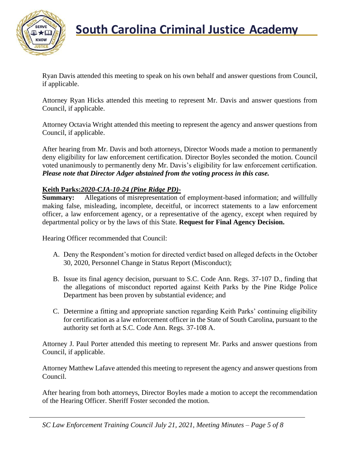

Ryan Davis attended this meeting to speak on his own behalf and answer questions from Council, if applicable.

Attorney Ryan Hicks attended this meeting to represent Mr. Davis and answer questions from Council, if applicable.

Attorney Octavia Wright attended this meeting to represent the agency and answer questions from Council, if applicable.

After hearing from Mr. Davis and both attorneys, Director Woods made a motion to permanently deny eligibility for law enforcement certification. Director Boyles seconded the motion. Council voted unanimously to permanently deny Mr. Davis's eligibility for law enforcement certification. *Please note that Director Adger abstained from the voting process in this case.*

#### **Keith Parks:***2020-CJA-10-24 (Pine Ridge PD)***-**

**Summary:** Allegations of misrepresentation of employment-based information; and willfully making false, misleading, incomplete, deceitful, or incorrect statements to a law enforcement officer, a law enforcement agency, or a representative of the agency, except when required by departmental policy or by the laws of this State. **Request for Final Agency Decision.**

Hearing Officer recommended that Council:

- A. Deny the Respondent's motion for directed verdict based on alleged defects in the October 30, 2020, Personnel Change in Status Report (Misconduct);
- B. Issue its final agency decision, pursuant to S.C. Code Ann. Regs. 37-107 D., finding that the allegations of misconduct reported against Keith Parks by the Pine Ridge Police Department has been proven by substantial evidence; and
- C. Determine a fitting and appropriate sanction regarding Keith Parks' continuing eligibility for certification as a law enforcement officer in the State of South Carolina, pursuant to the authority set forth at S.C. Code Ann. Regs. 37-108 A.

Attorney J. Paul Porter attended this meeting to represent Mr. Parks and answer questions from Council, if applicable.

Attorney Matthew Lafave attended this meeting to represent the agency and answer questions from Council.

After hearing from both attorneys, Director Boyles made a motion to accept the recommendation of the Hearing Officer. Sheriff Foster seconded the motion.

*SC Law Enforcement Training Council July 21, 2021, Meeting Minutes – Page 5 of 8*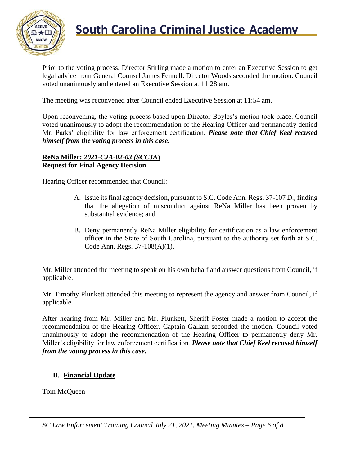

# **South Carolina Criminal Justice Academy**

Prior to the voting process, Director Stirling made a motion to enter an Executive Session to get legal advice from General Counsel James Fennell. Director Woods seconded the motion. Council voted unanimously and entered an Executive Session at 11:28 am.

The meeting was reconvened after Council ended Executive Session at 11:54 am.

Upon reconvening, the voting process based upon Director Boyles's motion took place. Council voted unanimously to adopt the recommendation of the Hearing Officer and permanently denied Mr. Parks' eligibility for law enforcement certification. *Please note that Chief Keel recused himself from the voting process in this case.*

#### **ReNa Miller:** *2021-CJA-02-03 (SCCJA***) – Request for Final Agency Decision**

Hearing Officer recommended that Council:

- A. Issue its final agency decision, pursuant to S.C. Code Ann. Regs. 37-107 D., finding that the allegation of misconduct against ReNa Miller has been proven by substantial evidence; and
- B. Deny permanently ReNa Miller eligibility for certification as a law enforcement officer in the State of South Carolina, pursuant to the authority set forth at S.C. Code Ann. Regs. 37-108(A)(1).

Mr. Miller attended the meeting to speak on his own behalf and answer questions from Council, if applicable.

Mr. Timothy Plunkett attended this meeting to represent the agency and answer from Council, if applicable.

After hearing from Mr. Miller and Mr. Plunkett, Sheriff Foster made a motion to accept the recommendation of the Hearing Officer. Captain Gallam seconded the motion. Council voted unanimously to adopt the recommendation of the Hearing Officer to permanently deny Mr. Miller's eligibility for law enforcement certification. *Please note that Chief Keel recused himself from the voting process in this case.*

## **B. Financial Update**

Tom McQueen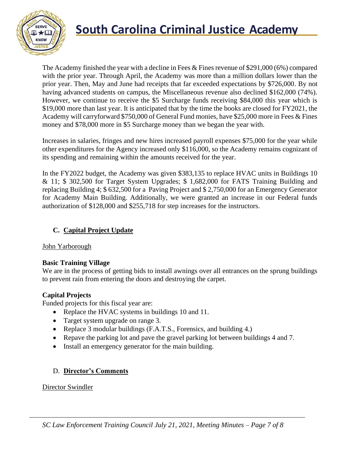

# **South Carolina Criminal Justice Academy**

The Academy finished the year with a decline in Fees & Fines revenue of \$291,000 (6%) compared with the prior year. Through April, the Academy was more than a million dollars lower than the prior year. Then, May and June had receipts that far exceeded expectations by \$726,000. By not having advanced students on campus, the Miscellaneous revenue also declined \$162,000 (74%). However, we continue to receive the \$5 Surcharge funds receiving \$84,000 this year which is \$19,000 more than last year. It is anticipated that by the time the books are closed for FY2021, the Academy will carryforward \$750,000 of General Fund monies, have \$25,000 more in Fees & Fines money and \$78,000 more in \$5 Surcharge money than we began the year with.

Increases in salaries, fringes and new hires increased payroll expenses \$75,000 for the year while other expenditures for the Agency increased only \$116,000, so the Academy remains cognizant of its spending and remaining within the amounts received for the year.

In the FY2022 budget, the Academy was given \$383,135 to replace HVAC units in Buildings 10 & 11; \$ 302,500 for Target System Upgrades; \$ 1,682,000 for FATS Training Building and replacing Building 4; \$ 632,500 for a Paving Project and \$ 2,750,000 for an Emergency Generator for Academy Main Building. Additionally, we were granted an increase in our Federal funds authorization of \$128,000 and \$255,718 for step increases for the instructors.

### **C. Capital Project Update**

#### John Yarborough

#### **Basic Training Village**

We are in the process of getting bids to install awnings over all entrances on the sprung buildings to prevent rain from entering the doors and destroying the carpet.

#### **Capital Projects**

Funded projects for this fiscal year are:

- Replace the HVAC systems in buildings 10 and 11.
- Target system upgrade on range 3.
- Replace 3 modular buildings (F.A.T.S., Forensics, and building 4.)
- Repave the parking lot and pave the gravel parking lot between buildings 4 and 7.
- Install an emergency generator for the main building.

## D. **Director's Comments**

#### Director Swindler